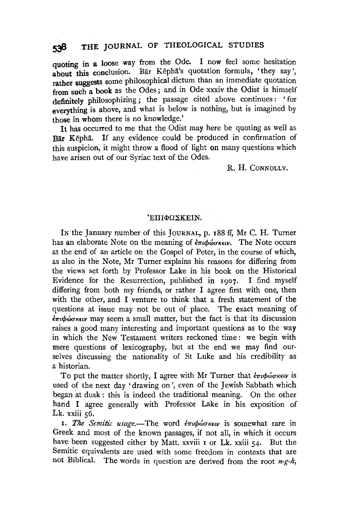quoting in a loose way from the Ode. I now feel some hesitation about this conclusion. Bar Kepha's quotation formula, 'they say'. about this conclusion. Bar Kepha's quotation formula, 'they say', rather suggests some philosophical dictum than an immediate quotation from such a book as the Odes ; and in Ode xxxiv the Odist is himself definitely philosophizing; the passage cited above continues : ' for everything is above, and what is below is nothing, but is imagined by those in whom there is no knowledge.'

It has occurred to me that the Odist may here be quoting as well as Bar Kepha. If any evidence could be produced in confirmation of this suspicion, it might throw a flood of light on many questions which have arisen out of our Syriac text of the Odes.

### R. H. CoNNOLLY.

#### $'EIIIΦΩΣ$ KEIN.

IN the January number of this JouRNAL, p. r88 ff, Mr C. H. Turner has an elaborate Note on the meaning of *επιφώσκειν*. The Note occurs at the end of an article on the Gospel of Peter, in the course of which, as also in the Note, Mr Turner explains his reasons for differing from the views set forth by Professor Lake in his book on the Historical Evidence for the Resurrection, published in 1907. I find myself differing from both my friends, or rather I agree first with one, then with the other, and I venture to think that a fresh statement of the questions at issue may not be out of place. The exact meaning of  $\epsilon_{\pi i} \phi_{\omega \sigma \kappa \epsilon i \nu}$  may seem a small matter, but the fact is that its discussion raises a good many interesting and important questions as to the way in which the New Testament writers reckoned time: we begin with mere questions of lexicography, but at the end we may find ourselves discussing the nationality of St Luke and his credibility as a historian.

To put the matter shortly, I agree with Mr Turner that  $\frac{\partial \pi}{\partial y}$  *theory is* used of the next day 'drawing on', even of the Jewish Sabbath which began at dusk : this is indeed the traditional meaning. On the other hand I agree generally with Professor Lake in his exposition of Lk. xxiii 56.

r. *The Semitic usage*.—The word επιφώσκειν is somewhat rare in Greek and most of the known passages, if not all, in which it occurs have been suggested either by Matt. xxviii  $\sigma$  Lk. xxiii  $\sigma$ <sub>4</sub>. But the Semitic equivalents are used with some freedom in contexts that are not Biblical. The words in question are derived from the root *n-g-h,*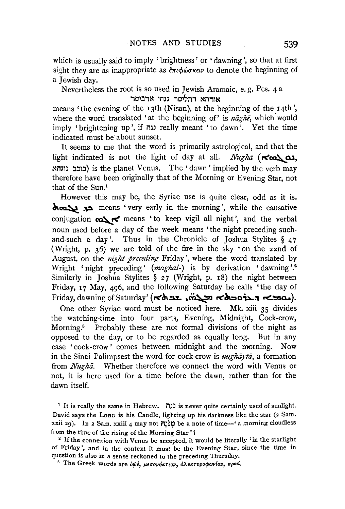which is usually said to imply 'brightness' or 'dawning', so that at first sight they are as inappropriate as  $\epsilon_{\pi\iota}\phi\omega_{\sigma\kappa\iota\nu}$  to denote the beginning of a Jewish day.

Nevertheless the root is so used in Jewish Aramaic, e. g. Pes. 4 a אורתא דתליסר נגהי ארביסר

means 'the evening of the 13th (Nisan), at the beginning of the 14th', where the word translated 'at the beginning of' is *naghe*, which would imply 'brightening up', if נגה really meant 'to dawn'. Yet the time indicated must be about sunset.

It seems to me that the word is primarily astrological, and that the light indicated is not the light of day at all. *Nugha*  $(\forall \omega)$ , ~nm :J:Jl:J) is the planet Venus. The 'dawn' implied by the verb may therefore have been originally that of the Morning or Evening Star, not that of the Sun.1

However this may be, the Syriac use is quite clear, odd as it is. ~~ ~ means 'very early in the morning', while the causative conjugation  $\sum$  < means 'to keep vigil all night', and the verbal noun used before a day of the week means 'the night preceding suchand-such a day'. Thus in the Chronicle of Joshua Stylites  $\S$  47 (Wright, p. 36) we are told of the fire in the sky 'on the 22nd of August, on the *night preceding* Friday', where the word translated by Wright 'night preceding' (maghai-) is by derivation 'dawning'.<sup>2</sup> Similarly in Joshua Stylites § 27 (Wright, p. 18) the night between Friday, 17 May, 496, and the following Saturday he calls 'the day of Friday, dawning of Saturday' (**<<br/>لتك به المحمد بن بن المحمد بن بن المحمد بن المحمد بن المحمد بن المحمد بن ا** 

One other Syriac word must be noticed here. Mk. xiii 35 divides the watching-time into four parts, Evening, Midnight, Cock-crow, Morning.3 Probably these are not formal divisions of the night as opposed to the day, or to be regarded as equally long. But in any case 'cock-crow' comes between midnight and the morning. Now in the Sinai Palimpsest the word for cock-crow is *nughayta*, a formation from *Nugha*. Whether therefore we connect the word with Venus or not, it is here used for a time before the dawn, rather than for the dawn itself.

<sup>1</sup> It is really the same in Hebrew. נגה is never quite certainly used of sunlight. David says the LoRD is his Candle, lighting up his darkness like the star (2 Sam. xxii 29). In 2 Sam. xxiii 4 may not  $\overline{p}$ וֹגֹּגַה be a note of time-' a morning cloudless

from the time of the rising of the Morning Star'!<br><sup>2</sup> If the connexion with Venus be accepted, it would be literally 'in the starlight of Friday', and in the context it must be the Evening Star, since the time in question is also in a sense reckoned to the preceding Thursday.<br><sup>3</sup> The Greek words are *δψέ, μεσονύκτιον, αλεκτοροφωνίαs, πρωί.*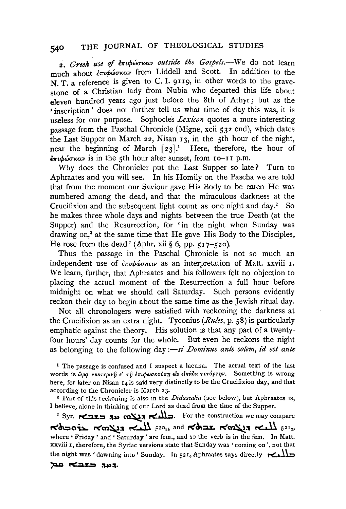2. Greek use of επιφώσκειν outside the Gospels.-We do not learn much about  $\epsilon \pi \iota \phi \omega \sigma \kappa \epsilon \nu$  from Liddell and Scott. In addition to the **N. T. a reference is given to C. I. 9119, in other words to the grave**stone of a Christian lady from Nubia who departed this life about eleven hundred years ago just before the 8th of Athyr; but as the 'inscription' does not further tell us what time of day this was, it is useless for our purpose. Sophocles *Lexicon* quotes a more interesting passage from the Paschal Chronicle (Migne, xcii 532 end), which dates the Last Supper on March 22, Nisan  $_1$ 3, in the  $\frac{1}{2}$ th hour of the night, near the beginning of March  $\lceil 23 \rceil$ .<sup>1</sup> Here, therefore, the hour of  $\epsilon_{\pi\iota\phi\omega\sigma\kappa\epsilon\iota\nu}$  is in the 5th hour after sunset, from 10-11 p.m.

Why does the Chronicler put the Last Supper so late? Turn to Aphraates and you will see. In his Homily on the Pascha we are told that from the moment our Saviour gave His Body to be eaten He was numbered among the dead, and that the miraculous darkness at the Crucifixion and the subsequent light count as one night and day.<sup>2</sup> So he makes three whole days and nights between the true Death (at the Supper) and the Resurrection, for 'in the night when Sunday was drawing on,<sup>3</sup> at the same time that He gave His Body to the Disciples, He rose from the dead' (Aphr. xii  $\S$  6, pp. 517-520).

Thus the passage in the Paschal Chronicle is not so much an independent use of επιφώσκειν as an interpretation of Matt. xxviii 1. We learn, further, that Aphraates and his followers felt no objection to placing the actual moment of the Resurrection a full hour before midnight on what we should call Saturday. Such persons evidently reckon their day to begin about the same time as the Jewish ritual day.

Not all chronologers were satisfied with reckoning the darkness at the Crucifixion as an extra night. Tyconius *(Rules,* p. 58) is particularly emphatic against the theory. His solution is that any part of a twentyfour hours' day counts for the whole. But even he reckons the night as belonging to the following day *:- si Dominus ante solem, id est ante* 

<sup>1</sup> The passage is confused and I suspect a lacuna. The actual text of the last words is ώρα νυκτερινη ε' τη επιφωσκούση είς εικάδα τετάρτην. Something is wrong here, for later on Nisan  $14$  is said very distinctly to be the Crucifixion day, and that according to the Chronicler is March 23.

<sup>2</sup> Part of this reckoning is also in the *Didascalia* (see below), but Aphraates is, I believe, alone in thinking of our Lord as dead from the time of the Supper.

3 Syr. ~.::u:.::a ~» ~:'I **re:.Jl::,.** For the construction we may compare r<~::ao~ r<cn~:'l r<'~ f2024 and r<ch::~.z. r<'~:'l ~ <sup>521</sup> 3, where 'Friday' and 'Saturday' are fem., and so the verb is in the fem. In Matt. xxviii I, therefore, the Syriac versions state that Sunday was 'coming on', not that the night was ' dawning into' Sunday. In  $5^{21}$ <sub>6</sub> Aphraates says directly **reduced**<br>**Ref Ref**  $\overrightarrow{AB}$  **Ref**  $\overrightarrow{AB}$  **1.**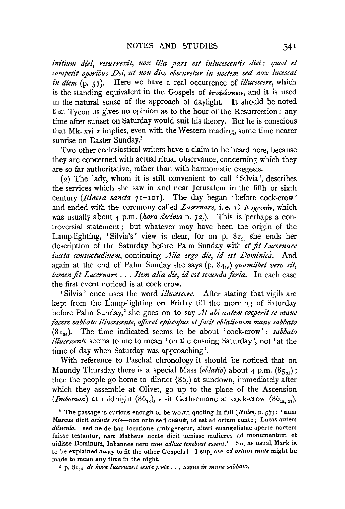*initium diei, resurrexit, nox illa pars est inlucescentis diei: quod et competit operibus Dei, ut non dies obscuretur in noctem sed nox lucescat in diem* (p. 57). Here we have a real occurrence of *illucescere,* which is the standing equivalent in the Gospels of  $\partial \tau \partial \phi$  and it is used in the natural sense of the approach of daylight. It should be noted that Tyconius gives no opinion as to the hour of the Resurrection : any time after sunset on Saturday would suit his theory. But he is conscious that Mk. xvi 2 implies, even with the Western reading, some time nearer sunrise on Easter Sunday.<sup>1</sup>

Two other ecclesiastical writers have a claim to be heard here, because they are concerned with actual ritual observance, concerning which they are so far authoritative, rather than with harmonistic exegesis.

(a) The lady, whom it is still convenient to call 'Silvia ', describes the services which she saw in and near Jerusalem in the fifth or sixth century *(Itinera sancta* 7I-Ioi). The day began 'before cock-crow' and ended with the ceremony called *Lucernare*, i. e. τὸ Λυχνικόν, which was usually about 4 p.m. (hora decima p. 72<sub>5</sub>). This is perhaps a controversial statement; but whatever may have been the origin of the Lamp-lighting, 'Silvia's' view is clear, for on p.  $8z_{26}$  she ends her description of the Saturday before Palm Sunday with *et fit Lucernare iuxta consuetudinem,* continuing *Alia ergo die, id est Dominica.* And again at the end of Palm Sunday she says (p. 84<sub>10</sub>) *quamlibet vero sit*, *tamen fit Lucernare* ... *Item alt"a die, id est secunda feria.* In each case the first event noticed is at cock-crow.

' Silvia ' once uses the word *illucescere.* After stating that vigils are kept from the Lamp-lighting on Friday till the morning of Saturday before Palm Sunday,<sup>2</sup> she goes on to say *At ubi autem coeperit se mane facere sabbato illucescente, offeret episcopus et facit oblationem mane sabbato*  (8r28). The time indicated seems to be about 'cock-crow': *sabbato illucescente* seems to me to mean 'on the ensuing Saturday', not 'at the time of day when Saturday was approaching'.

With reference to Paschal chronology it should be noticed that on Maundy Thursday there is a special Mass *(oblatio)* about 4 p.m. (85<sub>53</sub>); then the people go home to dinner  $(86<sub>5</sub>)$  at sundown, immediately after which they assemble at Olivet, go up to the place of the Ascension *(Imbomon)* at midnight  $(86_{13})$ , visit Gethsemane at cock-crow  $(86_{18,27})$ ,

1 The passage is curious enough to be worth quoting in full *(Rules,* p. 57): 'nam Marcus dicit *oriente sole-non* orto sed *oriente,* id est ad ortum eunte; Lucas autem *diluculo.* sed ne de hac locutione ambigeretur, alteri euangelistae aperte noctem fuisse testantur, nam Matheus nocte dicit uenisse mulieres ad monumentum et uidisse Dominum, Iohannes uero *cum adhuc tenebrae essent.'* So, as usual, Mark is to be explained away to fit the other Gospels ! I suppose *ad ortum eunte* might be made to mean any time in the night.

<sup>2</sup> p. 8<sup>1</sup><sup>4</sup> *de hora lucernarii sexta feria* . . . *usque in mane sabbato.*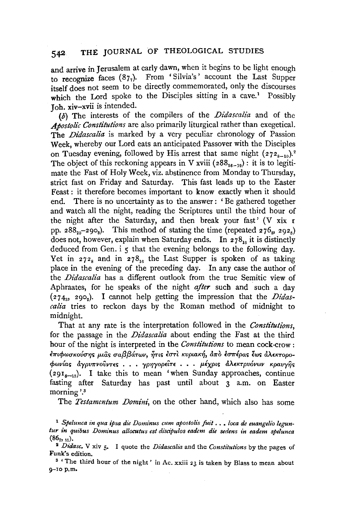and arrive in Jerusalem at early dawn, when it begins to be light enough to recognize faces  $(87<sub>7</sub>)$ . From 'Silvia's' account the Last Supper itself does not seem to be directly commemorated, only the discourses which the Lord spoke to the Disciples sitting in a cave.<sup>1</sup> Possibly **J** oh. xiv-xvii is intended.

(b) The interests of the compilers of the *Didascalia* and of the Apostolic Constitutions are also primarily liturgical rather than exegetical. The *Didascalia* is marked by a very peculiar chronology of Passion Week, whereby our Lord eats an anticipated Passover with the Disciples on Tuesday evening, followed by His arrest that same night  $(272_{8-10})$ .<sup>2</sup> The object of this reckoning appears in V xviii ( $288_{16-19}$ ): it is to legitimate the Fast of Holy Week, viz. abstinence from Monday to Thursday, strict fast on Friday and Saturday. This fast leads up to the Easter Feast : it therefore becomes important to know exactly when it should end. There is no uncertainty as to the answer : ' Be gathered together and watch all the night, reading the Scriptures until the third hour of the night after the Saturday, and then break your fast' (V xix r pp. 288<sub>20</sub>-290<sub>8</sub>). This method of stating the time (repeated 276<sub>8</sub>, 292<sub>5</sub>) does not, however, explain when Saturday ends. In  $278_{16}$  it is distinctly deduced from Gen. i 5 that the evening belongs to the following day. Yet in  $272_8$  and in  $278_{16}$  the Last Supper is spoken of as taking place in the evening of the preceding day. In any case the author of the *Didascalia* has a different outlook from the true Semitic view of Aphraates, for he speaks of the night *after* such and such a day (274<sub>3</sub>, 290<sub>2</sub>). I cannot help getting the impression that the *Didascalia* tries to reckon days by the Roman method of midnight to midnight.

That at any rate is the interpretation followed in the *Constitutions,*  for the passage in the *Didascalia* about ending the Fast at the third hour of the night is interpreted in the *Constitutions* to mean cock-crow: επιφωσκούσης μιας σαββάτων, ήτις εστι κυριακή, απο εσπέρας έως αλεκτορο*cpwv{ar; &.ypV7rvovvns* . . • *yp'l]yopiiT£* • • . *p.l)(pLS &.A£KTpv6vwv* Kpavy~s  $(29I<sub>5-13</sub>)$ . I take this to mean 'when Sunday approaches, continue fasting after Saturday has past until about 3 a.m. on Easter morning'.<sup>3</sup>

The *Testamentum Domini,* on the other hand, which also has some

<sup>1</sup> *Spelunca in qua ipsa die Dominus cum apostolis fuit* .• , *loca de euangelio leguntur in quibus Dominus allocutus est discipulos eadem die sedens in eadem spelunca*   $(86_{7,11}).$ 

<sup>2</sup>*Didasc.* V xiv 5· I quote the *Didascalia* and the *Constitutions* by the pages of Funk's edition. 8 'The third hour of the night' in Ac. xxiii 23 is taken by Blass to mean about

<sup>9-10</sup> p.m.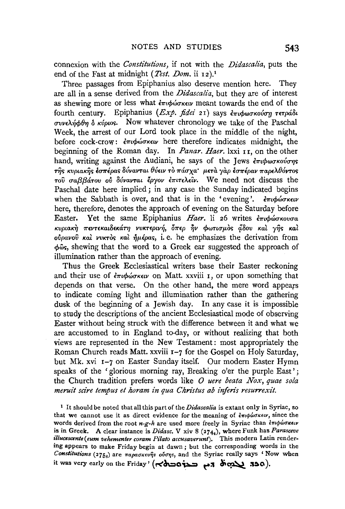connexion with the *Constitutions,* if not with the *Didascalia,* puts the end of the Fast at midnight (Test. Dom. ii 12).<sup>1</sup>

Three passages from Epiphanius also deserve mention here. They are all in a sense derived from the *Didascalia,* but they are of interest as shewing more or less what  $\epsilon \pi \omega \omega \sigma \kappa \epsilon \omega$  meant towards the end of the fourth century. Epiphanius (*Exp. fidei* 21) says επιφωσκούση τετράδι συνελήφθη δ κύριος. Now whatever chronology we take of the Paschal Week, the arrest of our Lord took place in the middle of the night, before cock-crow:  $\epsilon \pi \phi \omega \sigma \kappa \epsilon \nu$  here therefore indicates midnight, the beginning of the Roman day. In *Panar. Haer*. lxxi 11, on the other hand, writing against the Audiani, he says of the Jews  $\epsilon \pi \omega \omega \sigma \kappa \omega \sigma \eta s$  $\tau$ ής κυριακής έσπέρας δύνανται θύειν τὸ πάσχα· μετὰ γὰρ έσπέραν παρελθόντος -roil *rra{3{3&.-rov ofl 86vav-rat lpyov £mu>..£'iv.* We need not discuss the Paschal date here implied; in any case the Sunday indicated begins when the Sabbath is over, and that is in the 'evening'.  $\epsilon \pi \iota \phi \omega \sigma \kappa \epsilon \iota \nu$ here, therefore, denotes the approach of evening on the Saturday before Easter. Yet the same Epiphanius *Haer*. li 26 writes επιφώσκουσα KvptaK~ *7r£VT£Kat8£Kd.TYJ* vvK-r£pw~, *07r£p* ~v *cpwnrrp.o<; f/.8ov Kat* y~'> *Kal ovpavov Kal VVKTO'> Kat* ~pipa<>, i. e. he emphasizes the derivation from  $\phi$ <sub>0</sub><sup>c</sup>, shewing that the word to a Greek ear suggested the approach of illumination rather than the approach of evening.

Thus the Greek Ecclesiastical writers base their Easter reckoning and their use of επιφώσκειν on Matt. xxviii 1, or upon something that depends on that verse. On the other hand, the mere word appears to indicate coming light and illumination rather than the gathering dusk of the beginning of a Jewish day. In any case it is impossible to study the descriptions of the ancient Ecclesiastical mode of observing Easter without being struck with the difference between it and what we are accustomed to in England to-day, or without realizing that both views are represented in the New Testament: most appropriately the Roman Church reads Matt. xxviii 1-7 for the Gospel on Holy Saturday, but Mk. xvi 1-7 on Easter Sunday itself. Our modem Easter Hymn speaks of the 'glorious morning ray, Breaking o'er the purple East'; the Church tradition prefers words like *0 uere beata Nox, quae sola meruit scire tempus et horam in qua Christus ab inferis resurrexit.* 

1 It should be noted that all this part of the *Didascalia* is extant only in Syriac, so that we cannot use it as direct evidence for the meaning of  $\epsilon \pi \phi \omega \sigma \kappa \epsilon \nu$ , since the words derived from the root  $n-g-h$  are used more freely in Syriac than  $\frac{2\pi}{\pi}\frac{1}{\phi}\frac{1}{\phi}$ is in Greek. A clear instance is *Didasc.* V xiv 8 (2744), where Funk has *Parasceve illucescente(eum vehementer coram Pilato accusaverunt).* This modern Latin rendering appears to make Friday begin at dawn ; but the corresponding words in the Constitutions (275<sub>8</sub>) are παρασκευήs ούσης, and the Syriac really says 'Now when it was very early on the Friday' (הלה בלסכום היה לימי המינו אל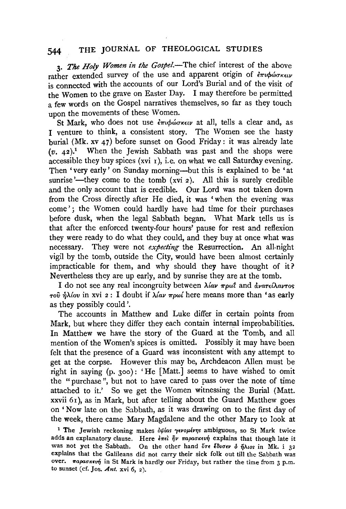3. The Holy Women in the Gospel.-The chief interest of the above rather extended survey of the use and apparent origin of επιφώσκειν is connected with the accounts of our Lord's Burial and of the visit of the Women to the grave on Easter Day. I may therefore be permitted a few words on the Gospel narratives themselves, so far as they touch upon the movements of these Women.

St Mark, who does not use επιφώσκειν at all, tells a clear and, as I venture to think, a consistent story. The Women see the hasty burial (Mk. xv 47) before sunset on Good Friday: it was already late  $(v. 42)^1$  When the Jewish Sabbath was past and the shops were accessible they buy spices (xvi  $r$ ), i.e. on what we call Saturday evening. Then 'very early' on Sunday morning--but this is explained to be 'at sunrise'—they come to the tomb  $(xvi 2)$ . All this is surely credible and the only account that is credible. Our Lord was not taken down from the Cross directly after He died, it was 'when the evening was come' ; the Women could hardly have had time for their purchases before dusk, when the legal Sabbath began. What Mark tells us is that after the enforced twenty-four hours' pause for rest and reflexion they were ready to do what they could, and they buy at once what was necessary. They were not *expecting* the Resurrection. An all-night vigil by the tomb, outside the City, would have been almost certainly impracticable for them, and why should they have thought of it? Nevertheless they are up early, and by sunrise they are at the tomb.

I do not see any real incongruity between  $\lambda$ *(av*  $\pi \rho \omega t$  *and*  $\frac{\partial \nu}{\partial x} \partial \alpha \nu \tau$ *os*  $\tau$ <sup>0</sup> $\hat{v}$   $\hat{n}$  $\lambda$ *(ov* in xvi 2 : I doubt if  $\lambda$ *(av*  $\pi$ *pω(*) here means more than 'as early as they possibly could'.

The accounts in Matthew and Luke differ in certain points from Mark, but where they differ they each contain internal improbabilities. In Matthew we have the story of the Guard at the Tomb, and all mention of the Women's spices is omitted. Possibly it may have been felt that the presence of a Guard was inconsistent with any attempt to get at the corpse. However this may be, Archdeacon Alien must be right in saying (p. 3oo): 'He [Matt.] seems to have wished to omit the "purchase", but not to have cared to pass over the note of time attached to it.' So we get the Women witnessing the Burial (Matt. xxvii 6r), as in Mark, but after telling about the Guard Matthew goes on 'Now late on the Sabbath, as it was drawing on to the first day of the week, there came Mary Magdalene and the other Mary to look at

<sup>1</sup> The Jewish reckoning makes  $\delta\psi$ ias  $\gamma\epsilon\nu$ ou $\epsilon\nu\eta$ s ambiguous, so St Mark twice adds an explanatory clause. Here  $\epsilon \pi \epsilon \hat{i} \hat{j} \nu \pi a \rho a \sigma \kappa \epsilon \nu \hat{\eta}$  explains that though late it was not yet the Sabbath. On the other hand ore  $\epsilon$   $\delta v \sigma \epsilon v$   $\delta \eta \lambda \omega s$  in Mk. i 32 explains that the Galileans did not carry their sick folk out till the Sabbath was over.  $\pi a \rho a \sigma \kappa \epsilon v \eta$  in St Mark is hardly our Friday, but rather the time from 3 p.m. to sunset (cf. *]os. Ant.* xvi 6, 2).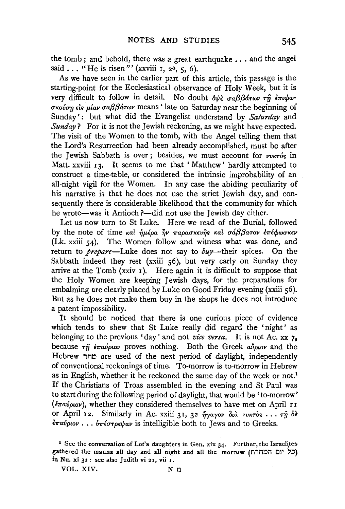the tomb; and behold, there was a great earthquake  $\ldots$  and the angel said ... "He is risen"' (xxviii  $\tau$ ,  $z^2$ ,  $\tau$ , 6).

As we have seen in the earlier part of this article, this passage is the starting-point for the Ecclesiastical observance of Holy Week, but it is very difficult to follow in detail. No doubt  $\partial \psi \partial \partial \beta \partial \partial \tau$   $\partial \gamma$   $\partial \tau$   $\partial \psi$ *UKOllurJ* t:1s- *pf.av uaf3f3&.Twv* means ' late on Saturday near the beginning of Sunday' : but what did the Evangelist understand by *Saturday* and *Sunday*? For it is not the Jewish reckoning, as we might have expected. The visit of the Women to the tomb, with the Angel telling them that the Lord's Resurrection had been already accomplished, must be after the Jewish Sabbath is over; besides, we must account for *vvKT6s* in Matt. xxviii 13. It seems to me that 'Matthew' hardly attempted to construct a time-table, or considered the intrinsic improbability of an all-night vigil for the Women. In any case the abiding peculiarity of his narrative is that he does not use the strict Jewish day, and consequently there is considerable likelihood that the community for which he wrote-was it Antioch ?- did not use the Jewish day either.

Let us now turn to St Luke. Here we read of the Burial, followed by the note of time και *ήμέρα ήν παρασκευής και σάββατον επέ*φωσκεν (Lk. xxiii 54). The Women follow and witness what was done, and return to *prepare*—Luke does not say to *buy*—their spices. On the Sabbath indeed they rest (xxiii 56), but very early on Sunday they arrive at the Tomb ( $xxiv$  I). Here again it is difficult to suppose that the Holy Women are keeping Jewish days, for the preparations for embalming are clearly placed by Luke on Good Friday evening (xxiii 56). But as he does not make them buy in the shops he does not introduce a patent impossibility.

It should be noticed that there is one curious piece of evidence which tends to shew that St Luke really did regard the 'night' as belonging to the previous 'day' and not *vice versa.* It is not Ac. xx 7, because  $\tau \hat{\eta}$  *i* $\pi a \hat{\nu} \rho \omega \rho$  proves nothing. Both the Greek  $a \hat{\nu} \rho \omega \rho$  and the Hebrew מחר are used of the next period of daylight, independently of conventional reckonings of time. To-morrow is to-morrow in Hebrew as in English, whether it be reckoned the same day of the week or not.<sup>1</sup> If the Christians of Troas assembled in the evening and St Paul was to start during the following period of daylight, that would be 'to-morrow'  $(\epsilon \pi \omega \omega \omega)$ , whether they considered themselves to have met on April 11 or April 12. Similarly in Ac. xxiii 31, 32 ήγαγον διά νυκτός ... τη δέ *ξπαύριον* . . . *νπέστρεψαν* is intelligible both to Jews and to Greeks.

VOL. XIV. N n

<sup>&</sup>lt;sup>1</sup> See the conversation of Lot's daughters in Gen. xix  $34$ . Further, the Israelites gathered the manna all day and all night and all the morrow (כל יום המחרת) in Nu. xi 32: see also Judith vi 21, vii r.